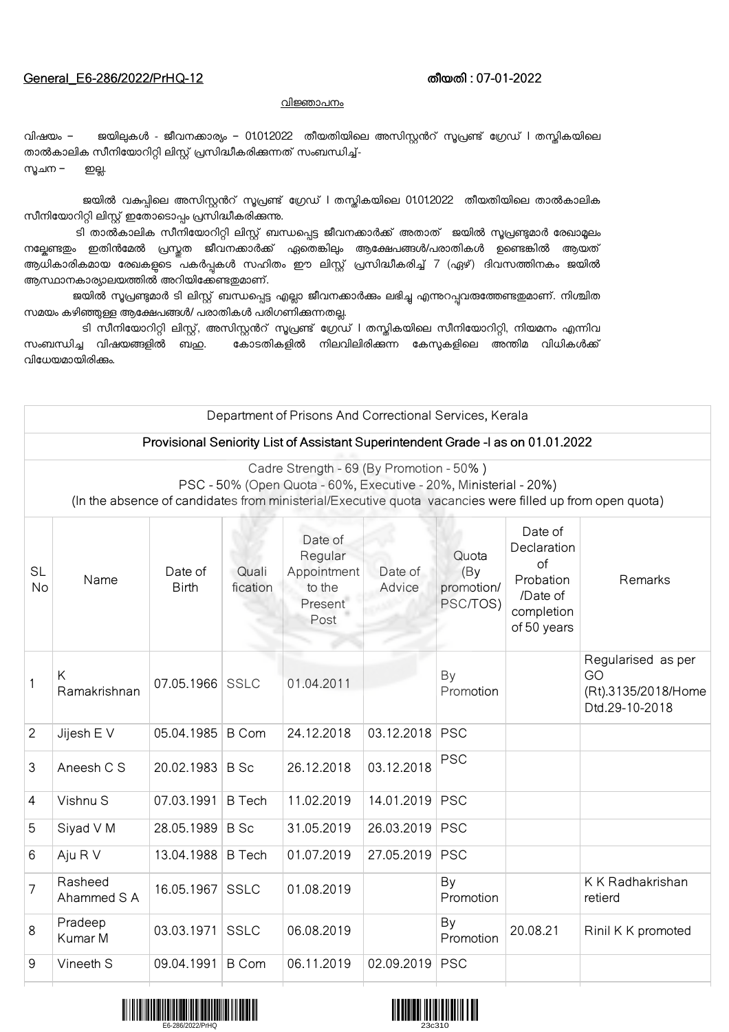## General\_E6-286/2022/PrHQ-12 തീയതി : 07-01-2022

## വിജ്ഞാപനം

വിഷയം – ജയിലുകൾ - ജീവനക്കാര്യം – 01012022 തീയതിയിലെ അസിസ്റ്റൻറ് സൂപ്രണ്ട് ഗ്രേഡ് l തസ്കികയിലെ താൽകാലിക സീനിയോറിറ്റി ലിസ്റ്റ് പ്രസിദ്ധീകരിക്കുന്നത് സംബന്ധിച്ച്-സുചന – ഇല്ല.

ജയിൽ വകപ്പിലെ അസിസ്റ്റൻറ് സൂപ്രണ്ട് ഗ്രേഡ് l തസ്തികയിലെ 01012022 തീയതിയിലെ താൽകാലിക സീനിയോറിറ്റി ലിസ്റ്റ് ഇതോടൊപ്പം പ്രസിദ്ധീകരിക്കുന്നു.

ടി താൽകാലിക സീനിയോറിറ്റി ലിസ്റ്റ് ബന്ധപ്പെട്ട ജീവനക്കാർക്ക് അതാത് ജയിൽ സൂപ്രണ്ടുമാർ രേഖാമൂലം നല്പേണ്ടതും ഇതിൻമേൽ പ്രസ്തത ജീവനക്കാർക്ക് ഏതെങ്കിലും ആക്ഷേപങ്ങൾ/പരാതികൾ ഉണ്ടെങ്കിൽ ആയത് ആധികാരികമായ രേഖകളുടെ പകർപ്പകൾ സഹിതം ഈ ലിസ്റ്റ് പ്രസിദ്ധീകരിച്ച് 7 (ഏഴ്) ദിവസത്തിനകം ജയിൽ ആസ്ഥാനകാര്യാലയത്തിൽ അറിയിക്കേണ്ടതുമാണ്.

ജയിൽ സൂപ്രണ്ടുമാർ ടി ലിസ്റ്റ് ബന്ധപ്പെട്ട എല്ലാ ജീവനക്കാർക്കം ലഭിച്ച എന്നുറപ്പവരുത്തേണ്ടതുമാണ്. നിശ്ചിത സമയം കഴിഞ്ഞുള്ള ആക്ഷേപങ്ങൾ/ പരാതികൾ പരിഗണിക്കുന്നതല്ല.

ടി സീനിയോറിറ്റി ലിസ്റ്റ്, അസിസ്റ്റൻറ് സൂപ്രണ്ട് ഗ്രേഡ് I തസ്തികയിലെ സീനിയോറിറ്റി, നിയമനം എന്നിവ<br>സംബന്ധിച്ച വിഷയങ്ങളിൽ ബ<u>ഹ</u>. കോടതികളിൽ നിലവിലിരിക്കുന്ന കേസുകളിലെ അന്തിമ വിധികൾക്ക് കോടതികളിൽ നിലവിലിരിക്കന്ന കേസ്യകളിലെ അന്തിമ വിധികൾക്ക് വിധേയമായിരിക്കം.

| Department of Prisons And Correctional Services, Kerala                                                                                                                                                                  |                        |                         |                   |                                                                |                   |                                        |                                                                                    |                                                                   |
|--------------------------------------------------------------------------------------------------------------------------------------------------------------------------------------------------------------------------|------------------------|-------------------------|-------------------|----------------------------------------------------------------|-------------------|----------------------------------------|------------------------------------------------------------------------------------|-------------------------------------------------------------------|
| Provisional Seniority List of Assistant Superintendent Grade -I as on 01.01.2022                                                                                                                                         |                        |                         |                   |                                                                |                   |                                        |                                                                                    |                                                                   |
| Cadre Strength - 69 (By Promotion - 50%)<br>PSC - 50% (Open Quota - 60%, Executive - 20%, Ministerial - 20%)<br>(In the absence of candidates from ministerial/Executive quota vacancies were filled up from open quota) |                        |                         |                   |                                                                |                   |                                        |                                                                                    |                                                                   |
| <b>SL</b><br><b>No</b>                                                                                                                                                                                                   | Name                   | Date of<br><b>Birth</b> | Quali<br>fication | Date of<br>Regular<br>Appointment<br>to the<br>Present<br>Post | Date of<br>Advice | Quota<br>(By<br>promotion/<br>PSC/TOS) | Date of<br>Declaration<br>of<br>Probation<br>/Date of<br>completion<br>of 50 years | Remarks                                                           |
|                                                                                                                                                                                                                          | K<br>Ramakrishnan      | 07.05.1966 SSLC         |                   | 01.04.2011                                                     |                   | By<br>Promotion                        |                                                                                    | Regularised as per<br>GO<br>(Rt).3135/2018/Home<br>Dtd.29-10-2018 |
| $\overline{2}$                                                                                                                                                                                                           | Jijesh E V             | 05.04.1985              | <b>B</b> Com      | 24.12.2018                                                     | 03.12.2018 PSC    |                                        |                                                                                    |                                                                   |
| 3                                                                                                                                                                                                                        | Aneesh C S             | 20.02.1983              | B Sc              | 26.12.2018                                                     | 03.12.2018        | <b>PSC</b>                             |                                                                                    |                                                                   |
| 4                                                                                                                                                                                                                        | Vishnu S               | 07.03.1991              | <b>B</b> Tech     | 11.02.2019                                                     | 14.01.2019        | <b>PSC</b>                             |                                                                                    |                                                                   |
| 5                                                                                                                                                                                                                        | Siyad V M              | 28.05.1989              | <b>B</b> Sc       | 31.05.2019                                                     | 26.03.2019 PSC    |                                        |                                                                                    |                                                                   |
| 6                                                                                                                                                                                                                        | Aju R V                | 13.04.1988              | <b>B</b> Tech     | 01.07.2019                                                     | 27.05.2019        | <b>PSC</b>                             |                                                                                    |                                                                   |
| 7                                                                                                                                                                                                                        | Rasheed<br>Ahammed S A | 16.05.1967              | SSLC              | 01.08.2019                                                     |                   | By<br>Promotion                        |                                                                                    | K K Radhakrishan<br>retierd                                       |
| 8                                                                                                                                                                                                                        | Pradeep<br>Kumar M     | 03.03.1971              | <b>SSLC</b>       | 06.08.2019                                                     |                   | By<br>Promotion                        | 20.08.21                                                                           | Rinil K K promoted                                                |
| 9                                                                                                                                                                                                                        | Vineeth S              | 09.04.1991              | B Com             | 06.11.2019                                                     | 02.09.2019        | <b>PSC</b>                             |                                                                                    |                                                                   |



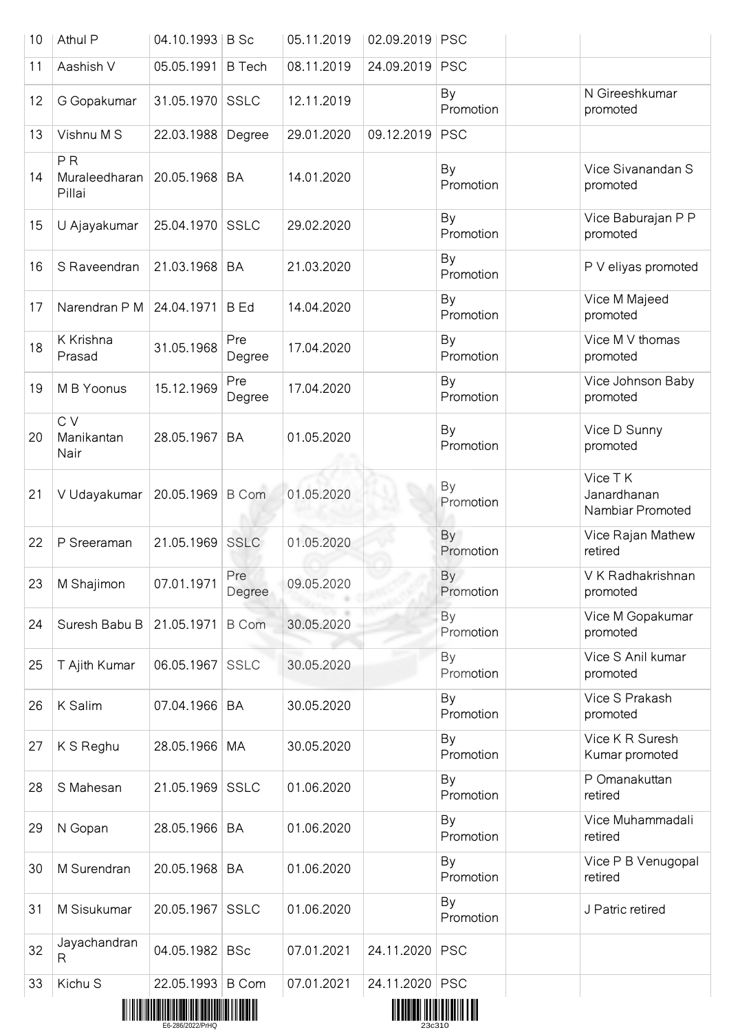| 10 | Athul P                                   | 04.10.1993   B Sc |               | 05.11.2019 | 02.09.2019   PSC                              |                 |                                            |
|----|-------------------------------------------|-------------------|---------------|------------|-----------------------------------------------|-----------------|--------------------------------------------|
| 11 | Aashish V                                 | 05.05.1991        | <b>B</b> Tech | 08.11.2019 | 24.09.2019                                    | <b>PSC</b>      |                                            |
| 12 | G Gopakumar                               | 31.05.1970        | <b>SSLC</b>   | 12.11.2019 |                                               | By<br>Promotion | N Gireeshkumar<br>promoted                 |
| 13 | Vishnu M S                                | 22.03.1988        | Degree        | 29.01.2020 | 09.12.2019                                    | <b>PSC</b>      |                                            |
| 14 | P <sub>R</sub><br>Muraleedharan<br>Pillai | 20.05.1968        | BA            | 14.01.2020 |                                               | By<br>Promotion | Vice Sivanandan S<br>promoted              |
| 15 | U Ajayakumar                              | 25.04.1970 SSLC   |               | 29.02.2020 |                                               | By<br>Promotion | Vice Baburajan P P<br>promoted             |
| 16 | S Raveendran                              | 21.03.1968        | <b>BA</b>     | 21.03.2020 |                                               | By<br>Promotion | P V eliyas promoted                        |
| 17 | Narendran P M                             | 24.04.1971        | <b>B</b> Ed   | 14.04.2020 |                                               | By<br>Promotion | Vice M Majeed<br>promoted                  |
| 18 | K Krishna<br>Prasad                       | 31.05.1968        | Pre<br>Degree | 17.04.2020 |                                               | By<br>Promotion | Vice M V thomas<br>promoted                |
| 19 | M B Yoonus                                | 15.12.1969        | Pre<br>Degree | 17.04.2020 |                                               | By<br>Promotion | Vice Johnson Baby<br>promoted              |
| 20 | C V<br>Manikantan<br>Nair                 | 28.05.1967        | <b>BA</b>     | 01.05.2020 |                                               | By<br>Promotion | Vice D Sunny<br>promoted                   |
| 21 | V Udayakumar                              | 20.05.1969        | <b>B</b> Com  | 01.05.2020 |                                               | By<br>Promotion | Vice TK<br>Janardhanan<br>Nambiar Promoted |
| 22 | P Sreeraman                               | 21.05.1969        | <b>SSLC</b>   | 01.05.2020 |                                               | By<br>Promotion | Vice Rajan Mathew<br>retired               |
| 23 | M Shajimon                                | 07.01.1971        | Pre<br>Degree | 09.05.2020 |                                               | By<br>Promotion | V K Radhakrishnan<br>promoted              |
| 24 | Suresh Babu B                             | 21.05.1971        | <b>B</b> Com  | 30.05.2020 |                                               | By<br>Promotion | Vice M Gopakumar<br>promoted               |
| 25 | T Ajith Kumar                             | 06.05.1967        | SSLC          | 30.05.2020 |                                               | By<br>Promotion | Vice S Anil kumar<br>promoted              |
| 26 | K Salim                                   | 07.04.1966        | BA            | 30.05.2020 |                                               | By<br>Promotion | Vice S Prakash<br>promoted                 |
| 27 | K S Reghu                                 | 28.05.1966        | МA            | 30.05.2020 |                                               | By<br>Promotion | Vice K R Suresh<br>Kumar promoted          |
| 28 | S Mahesan                                 | 21.05.1969        | <b>SSLC</b>   | 01.06.2020 |                                               | By<br>Promotion | P Omanakuttan<br>retired                   |
| 29 | N Gopan                                   | 28.05.1966        | BA            | 01.06.2020 |                                               | By<br>Promotion | Vice Muhammadali<br>retired                |
| 30 | M Surendran                               | 20.05.1968        | BA            | 01.06.2020 |                                               | By<br>Promotion | Vice P B Venugopal<br>retired              |
| 31 | M Sisukumar                               | 20.05.1967        | <b>SSLC</b>   | 01.06.2020 |                                               | By<br>Promotion | J Patric retired                           |
| 32 | Jayachandran<br>R                         | 04.05.1982 BSc    |               | 07.01.2021 | 24.11.2020                                    | <b>PSC</b>      |                                            |
| 33 | Kichu S                                   | 22.05.1993 B Com  |               | 07.01.2021 | 24.11.2020<br>,,,,,,,,,,,,,,,,,,,,,,,,,,,,,,, | <b>PSC</b>      |                                            |



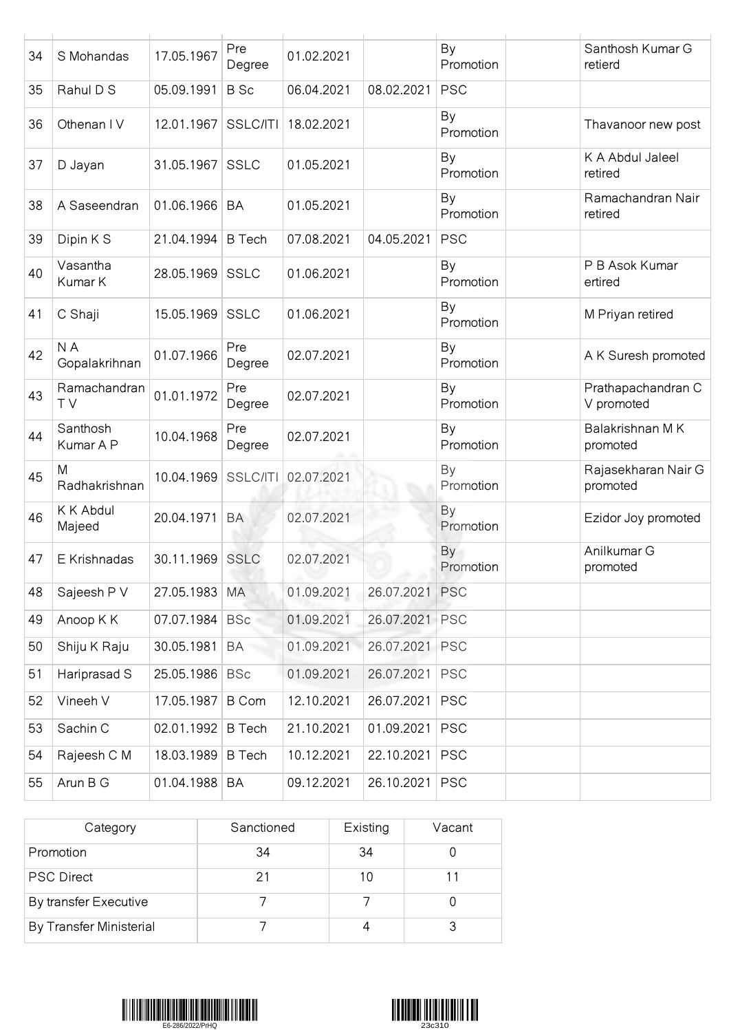| 34 | S Mohandas            | 17.05.1967    | Pre<br>Degree   | 01.02.2021 |                | By<br>Promotion | Santhosh Kumar G<br>retierd      |
|----|-----------------------|---------------|-----------------|------------|----------------|-----------------|----------------------------------|
| 35 | Rahul D S             | 05.09.1991    | <b>B</b> Sc     | 06.04.2021 | 08.02.2021     | <b>PSC</b>      |                                  |
| 36 | Othenan IV            | 12.01.1967    | <b>SSLC/ITI</b> | 18.02.2021 |                | By<br>Promotion | Thavanoor new post               |
| 37 | D Jayan               | 31.05.1967    | SSLC            | 01.05.2021 |                | By<br>Promotion | K A Abdul Jaleel<br>retired      |
| 38 | A Saseendran          | 01.06.1966    | <b>BA</b>       | 01.05.2021 |                | By<br>Promotion | Ramachandran Nair<br>retired     |
| 39 | Dipin K S             | 21.04.1994    | <b>B</b> Tech   | 07.08.2021 | 04.05.2021     | <b>PSC</b>      |                                  |
| 40 | Vasantha<br>Kumar K   | 28.05.1969    | <b>SSLC</b>     | 01.06.2021 |                | By<br>Promotion | P B Asok Kumar<br>ertired        |
| 41 | C Shaji               | 15.05.1969    | <b>SSLC</b>     | 01.06.2021 |                | By<br>Promotion | M Priyan retired                 |
| 42 | N A<br>Gopalakrihnan  | 01.07.1966    | Pre<br>Degree   | 02.07.2021 |                | By<br>Promotion | A K Suresh promoted              |
| 43 | Ramachandran<br>TV    | 01.01.1972    | Pre<br>Degree   | 02.07.2021 |                | By<br>Promotion | Prathapachandran C<br>V promoted |
| 44 | Santhosh<br>Kumar A P | 10.04.1968    | Pre<br>Degree   | 02.07.2021 |                | By<br>Promotion | Balakrishnan MK<br>promoted      |
| 45 | M<br>Radhakrishnan    | 10.04.1969    | SSLC/ITI        | 02.07.2021 |                | By<br>Promotion | Rajasekharan Nair G<br>promoted  |
| 46 | K K Abdul<br>Majeed   | 20.04.1971    | <b>BA</b>       | 02.07.2021 |                | By<br>Promotion | Ezidor Joy promoted              |
| 47 | E Krishnadas          | 30.11.1969    | <b>SSLC</b>     | 02.07.2021 |                | By<br>Promotion | Anilkumar G<br>promoted          |
| 48 | Sajeesh P V           | 27.05.1983 MA |                 | 01.09.2021 | 26.07.2021 PSC |                 |                                  |
| 49 | Anoop K K             | 07.07.1984    | <b>BSc</b>      | 01.09.2021 | 26.07.2021 PSC |                 |                                  |
| 50 | Shiju K Raju          | 30.05.1981    | BA              | 01.09.2021 | 26.07.2021     | <b>PSC</b>      |                                  |
| 51 | Hariprasad S          | 25.05.1986    | <b>BSc</b>      | 01.09.2021 | 26.07.2021     | <b>PSC</b>      |                                  |
| 52 | Vineeh V              | 17.05.1987    | <b>B</b> Com    | 12.10.2021 | 26.07.2021     | <b>PSC</b>      |                                  |
| 53 | Sachin C              | 02.01.1992    | <b>B</b> Tech   | 21.10.2021 | 01.09.2021     | <b>PSC</b>      |                                  |
| 54 | Rajeesh C M           | 18.03.1989    | <b>B</b> Tech   | 10.12.2021 | 22.10.2021     | <b>PSC</b>      |                                  |
| 55 | Arun B G              | 01.04.1988 BA |                 | 09.12.2021 | 26.10.2021     | <b>PSC</b>      |                                  |

| Category                | Sanctioned | Existing | Vacant |
|-------------------------|------------|----------|--------|
| Promotion               | 34         | 34       |        |
| <b>PSC Direct</b>       | 21         | 10       |        |
| By transfer Executive   |            |          |        |
| By Transfer Ministerial |            |          |        |